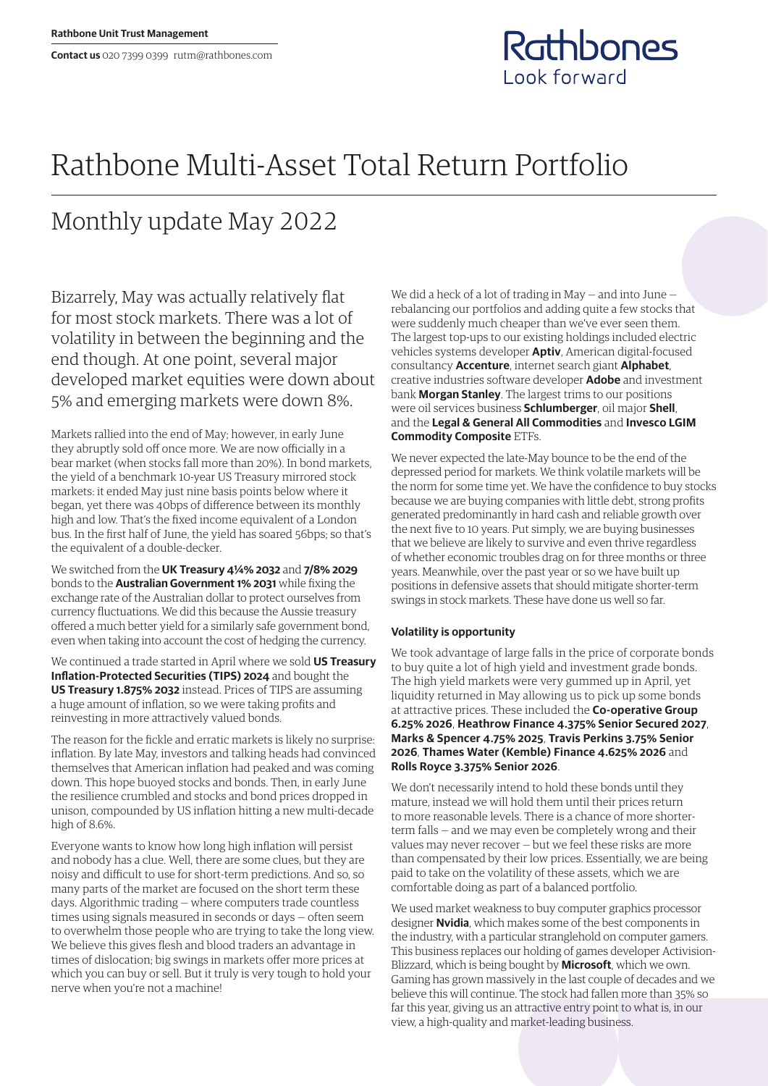

## Rathbone Multi-Asset Total Return Portfolio

## Monthly update May 2022

Bizarrely, May was actually relatively flat for most stock markets. There was a lot of volatility in between the beginning and the end though. At one point, several major developed market equities were down about 5% and emerging markets were down 8%.

Markets rallied into the end of May; however, in early June they abruptly sold off once more. We are now officially in a bear market (when stocks fall more than 20%). In bond markets, the yield of a benchmark 10-year US Treasury mirrored stock markets: it ended May just nine basis points below where it began, yet there was 40bps of difference between its monthly high and low. That's the fixed income equivalent of a London bus. In the first half of June, the yield has soared 56bps; so that's the equivalent of a double-decker.

We switched from the **UK Treasury 4¼% 2032** and **7/8% 2029**  bonds to the **Australian Government 1% 2031** while fixing the exchange rate of the Australian dollar to protect ourselves from currency fluctuations. We did this because the Aussie treasury offered a much better yield for a similarly safe government bond, even when taking into account the cost of hedging the currency.

We continued a trade started in April where we sold **US Treasury Inflation-Protected Securities (TIPS) 2024** and bought the **US Treasury 1.875% 2032** instead. Prices of TIPS are assuming a huge amount of inflation, so we were taking profits and reinvesting in more attractively valued bonds.

The reason for the fickle and erratic markets is likely no surprise: inflation. By late May, investors and talking heads had convinced themselves that American inflation had peaked and was coming down. This hope buoyed stocks and bonds. Then, in early June the resilience crumbled and stocks and bond prices dropped in unison, compounded by US inflation hitting a new multi-decade high of 8.6%.

Everyone wants to know how long high inflation will persist and nobody has a clue. Well, there are some clues, but they are noisy and difficult to use for short-term predictions. And so, so many parts of the market are focused on the short term these days. Algorithmic trading — where computers trade countless times using signals measured in seconds or days — often seem to overwhelm those people who are trying to take the long view. We believe this gives flesh and blood traders an advantage in times of dislocation; big swings in markets offer more prices at which you can buy or sell. But it truly is very tough to hold your nerve when you're not a machine!

We did a heck of a lot of trading in May — and into June rebalancing our portfolios and adding quite a few stocks that were suddenly much cheaper than we've ever seen them. The largest top-ups to our existing holdings included electric vehicles systems developer **Aptiv**, American digital-focused consultancy **Accenture**, internet search giant **Alphabet**, creative industries software developer **Adobe** and investment bank **Morgan Stanley**. The largest trims to our positions were oil services business **Schlumberger**, oil major **Shell**, and the **Legal & General All Commodities** and **Invesco LGIM Commodity Composite** ETFs.

We never expected the late-May bounce to be the end of the depressed period for markets. We think volatile markets will be the norm for some time yet. We have the confidence to buy stocks because we are buying companies with little debt, strong profits generated predominantly in hard cash and reliable growth over the next five to 10 years. Put simply, we are buying businesses that we believe are likely to survive and even thrive regardless of whether economic troubles drag on for three months or three years. Meanwhile, over the past year or so we have built up positions in defensive assets that should mitigate shorter-term swings in stock markets. These have done us well so far.

## **Volatility is opportunity**

We took advantage of large falls in the price of corporate bonds to buy quite a lot of high yield and investment grade bonds. The high yield markets were very gummed up in April, yet liquidity returned in May allowing us to pick up some bonds at attractive prices. These included the **Co-operative Group 6.25% 2026**, **Heathrow Finance 4.375% Senior Secured 2027**, **Marks & Spencer 4.75% 2025**, **Travis Perkins 3.75% Senior 2026**, **Thames Water (Kemble) Finance 4.625% 2026** and **Rolls Royce 3.375% Senior 2026**.

We don't necessarily intend to hold these bonds until they mature, instead we will hold them until their prices return to more reasonable levels. There is a chance of more shorterterm falls — and we may even be completely wrong and their values may never recover — but we feel these risks are more than compensated by their low prices. Essentially, we are being paid to take on the volatility of these assets, which we are comfortable doing as part of a balanced portfolio.

We used market weakness to buy computer graphics processor designer **Nvidia**, which makes some of the best components in the industry, with a particular stranglehold on computer gamers. This business replaces our holding of games developer Activision-Blizzard, which is being bought by **Microsoft**, which we own. Gaming has grown massively in the last couple of decades and we believe this will continue. The stock had fallen more than 35% so far this year, giving us an attractive entry point to what is, in our view, a high-quality and market-leading business.